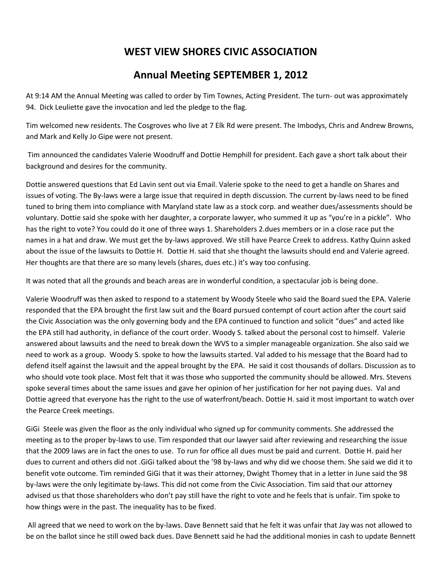## **WEST VIEW SHORES CIVIC ASSOCIATION**

## **Annual Meeting SEPTEMBER 1, 2012**

At 9:14 AM the Annual Meeting was called to order by Tim Townes, Acting President. The turn- out was approximately 94. Dick Leuliette gave the invocation and led the pledge to the flag.

Tim welcomed new residents. The Cosgroves who live at 7 Elk Rd were present. The Imbodys, Chris and Andrew Browns, and Mark and Kelly Jo Gipe were not present.

Tim announced the candidates Valerie Woodruff and Dottie Hemphill for president. Each gave a short talk about their background and desires for the community.

Dottie answered questions that Ed Lavin sent out via Email. Valerie spoke to the need to get a handle on Shares and issues of voting. The By-laws were a large issue that required in depth discussion. The current by-laws need to be fined tuned to bring them into compliance with Maryland state law as a stock corp. and weather dues/assessments should be voluntary. Dottie said she spoke with her daughter, a corporate lawyer, who summed it up as "you're in a pickle". Who has the right to vote? You could do it one of three ways 1. Shareholders 2.dues members or in a close race put the names in a hat and draw. We must get the by-laws approved. We still have Pearce Creek to address. Kathy Quinn asked about the issue of the lawsuits to Dottie H. Dottie H. said that she thought the lawsuits should end and Valerie agreed. Her thoughts are that there are so many levels (shares, dues etc.) it's way too confusing.

It was noted that all the grounds and beach areas are in wonderful condition, a spectacular job is being done.

Valerie Woodruff was then asked to respond to a statement by Woody Steele who said the Board sued the EPA. Valerie responded that the EPA brought the first law suit and the Board pursued contempt of court action after the court said the Civic Association was the only governing body and the EPA continued to function and solicit "dues" and acted like the EPA still had authority, in defiance of the court order. Woody S. talked about the personal cost to himself. Valerie answered about lawsuits and the need to break down the WVS to a simpler manageable organization. She also said we need to work as a group. Woody S. spoke to how the lawsuits started. Val added to his message that the Board had to defend itself against the lawsuit and the appeal brought by the EPA. He said it cost thousands of dollars. Discussion as to who should vote took place. Most felt that it was those who supported the community should be allowed. Mrs. Stevens spoke several times about the same issues and gave her opinion of her justification for her not paying dues. Val and Dottie agreed that everyone has the right to the use of waterfront/beach. Dottie H. said it most important to watch over the Pearce Creek meetings.

GiGi Steele was given the floor as the only individual who signed up for community comments. She addressed the meeting as to the proper by-laws to use. Tim responded that our lawyer said after reviewing and researching the issue that the 2009 laws are in fact the ones to use. To run for office all dues must be paid and current. Dottie H. paid her dues to current and others did not .GiGi talked about the '98 by-laws and why did we choose them. She said we did it to benefit vote outcome. Tim reminded GiGi that it was their attorney, Dwight Thomey that in a letter in June said the 98 by-laws were the only legitimate by-laws. This did not come from the Civic Association. Tim said that our attorney advised us that those shareholders who don't pay still have the right to vote and he feels that is unfair. Tim spoke to how things were in the past. The inequality has to be fixed.

All agreed that we need to work on the by-laws. Dave Bennett said that he felt it was unfair that Jay was not allowed to be on the ballot since he still owed back dues. Dave Bennett said he had the additional monies in cash to update Bennett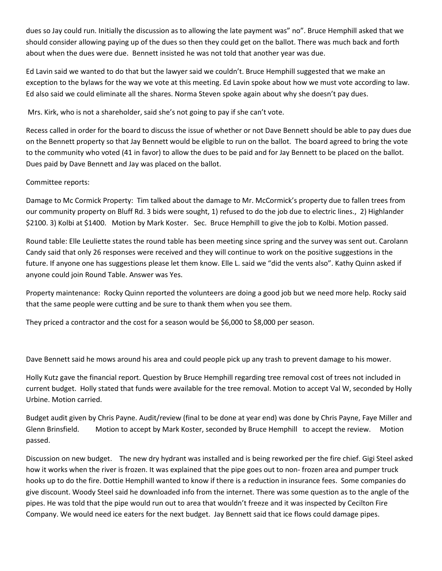dues so Jay could run. Initially the discussion as to allowing the late payment was" no". Bruce Hemphill asked that we should consider allowing paying up of the dues so then they could get on the ballot. There was much back and forth about when the dues were due. Bennett insisted he was not told that another year was due.

Ed Lavin said we wanted to do that but the lawyer said we couldn't. Bruce Hemphill suggested that we make an exception to the bylaws for the way we vote at this meeting. Ed Lavin spoke about how we must vote according to law. Ed also said we could eliminate all the shares. Norma Steven spoke again about why she doesn't pay dues.

Mrs. Kirk, who is not a shareholder, said she's not going to pay if she can't vote.

Recess called in order for the board to discuss the issue of whether or not Dave Bennett should be able to pay dues due on the Bennett property so that Jay Bennett would be eligible to run on the ballot. The board agreed to bring the vote to the community who voted (41 in favor) to allow the dues to be paid and for Jay Bennett to be placed on the ballot. Dues paid by Dave Bennett and Jay was placed on the ballot.

## Committee reports:

Damage to Mc Cormick Property: Tim talked about the damage to Mr. McCormick's property due to fallen trees from our community property on Bluff Rd. 3 bids were sought, 1) refused to do the job due to electric lines., 2) Highlander \$2100. 3) Kolbi at \$1400. Motion by Mark Koster. Sec. Bruce Hemphill to give the job to Kolbi. Motion passed.

Round table: Elle Leuliette states the round table has been meeting since spring and the survey was sent out. Carolann Candy said that only 26 responses were received and they will continue to work on the positive suggestions in the future. If anyone one has suggestions please let them know. Elle L. said we "did the vents also". Kathy Quinn asked if anyone could join Round Table. Answer was Yes.

Property maintenance: Rocky Quinn reported the volunteers are doing a good job but we need more help. Rocky said that the same people were cutting and be sure to thank them when you see them.

They priced a contractor and the cost for a season would be \$6,000 to \$8,000 per season.

Dave Bennett said he mows around his area and could people pick up any trash to prevent damage to his mower.

Holly Kutz gave the financial report. Question by Bruce Hemphill regarding tree removal cost of trees not included in current budget. Holly stated that funds were available for the tree removal. Motion to accept Val W, seconded by Holly Urbine. Motion carried.

Budget audit given by Chris Payne. Audit/review (final to be done at year end) was done by Chris Payne, Faye Miller and Glenn Brinsfield. Motion to accept by Mark Koster, seconded by Bruce Hemphill to accept the review. Motion passed.

Discussion on new budget. The new dry hydrant was installed and is being reworked per the fire chief. Gigi Steel asked how it works when the river is frozen. It was explained that the pipe goes out to non- frozen area and pumper truck hooks up to do the fire. Dottie Hemphill wanted to know if there is a reduction in insurance fees. Some companies do give discount. Woody Steel said he downloaded info from the internet. There was some question as to the angle of the pipes. He was told that the pipe would run out to area that wouldn't freeze and it was inspected by Cecilton Fire Company. We would need ice eaters for the next budget. Jay Bennett said that ice flows could damage pipes.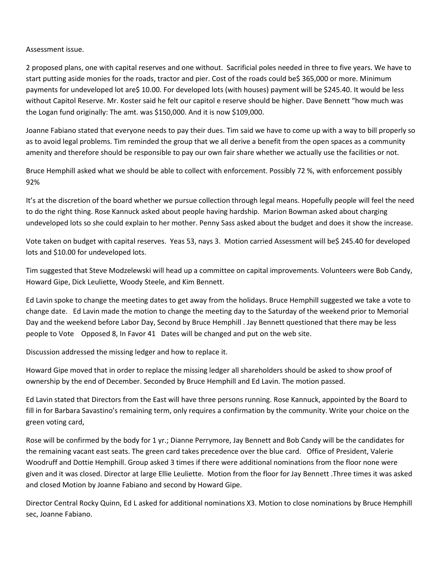Assessment issue.

2 proposed plans, one with capital reserves and one without. Sacrificial poles needed in three to five years. We have to start putting aside monies for the roads, tractor and pier. Cost of the roads could be\$ 365,000 or more. Minimum payments for undeveloped lot are\$ 10.00. For developed lots (with houses) payment will be \$245.40. It would be less without Capitol Reserve. Mr. Koster said he felt our capitol e reserve should be higher. Dave Bennett "how much was the Logan fund originally: The amt. was \$150,000. And it is now \$109,000.

Joanne Fabiano stated that everyone needs to pay their dues. Tim said we have to come up with a way to bill properly so as to avoid legal problems. Tim reminded the group that we all derive a benefit from the open spaces as a community amenity and therefore should be responsible to pay our own fair share whether we actually use the facilities or not.

Bruce Hemphill asked what we should be able to collect with enforcement. Possibly 72 %, with enforcement possibly 92%

It's at the discretion of the board whether we pursue collection through legal means. Hopefully people will feel the need to do the right thing. Rose Kannuck asked about people having hardship. Marion Bowman asked about charging undeveloped lots so she could explain to her mother. Penny Sass asked about the budget and does it show the increase.

Vote taken on budget with capital reserves. Yeas 53, nays 3. Motion carried Assessment will be\$ 245.40 for developed lots and \$10.00 for undeveloped lots.

Tim suggested that Steve Modzelewski will head up a committee on capital improvements. Volunteers were Bob Candy, Howard Gipe, Dick Leuliette, Woody Steele, and Kim Bennett.

Ed Lavin spoke to change the meeting dates to get away from the holidays. Bruce Hemphill suggested we take a vote to change date. Ed Lavin made the motion to change the meeting day to the Saturday of the weekend prior to Memorial Day and the weekend before Labor Day, Second by Bruce Hemphill . Jay Bennett questioned that there may be less people to Vote Opposed 8, In Favor 41 Dates will be changed and put on the web site.

Discussion addressed the missing ledger and how to replace it.

Howard Gipe moved that in order to replace the missing ledger all shareholders should be asked to show proof of ownership by the end of December. Seconded by Bruce Hemphill and Ed Lavin. The motion passed.

Ed Lavin stated that Directors from the East will have three persons running. Rose Kannuck, appointed by the Board to fill in for Barbara Savastino's remaining term, only requires a confirmation by the community. Write your choice on the green voting card,

Rose will be confirmed by the body for 1 yr.; Dianne Perrymore, Jay Bennett and Bob Candy will be the candidates for the remaining vacant east seats. The green card takes precedence over the blue card. Office of President, Valerie Woodruff and Dottie Hemphill. Group asked 3 times if there were additional nominations from the floor none were given and it was closed. Director at large Ellie Leuliette. Motion from the floor for Jay Bennett .Three times it was asked and closed Motion by Joanne Fabiano and second by Howard Gipe.

Director Central Rocky Quinn, Ed L asked for additional nominations X3. Motion to close nominations by Bruce Hemphill sec, Joanne Fabiano.